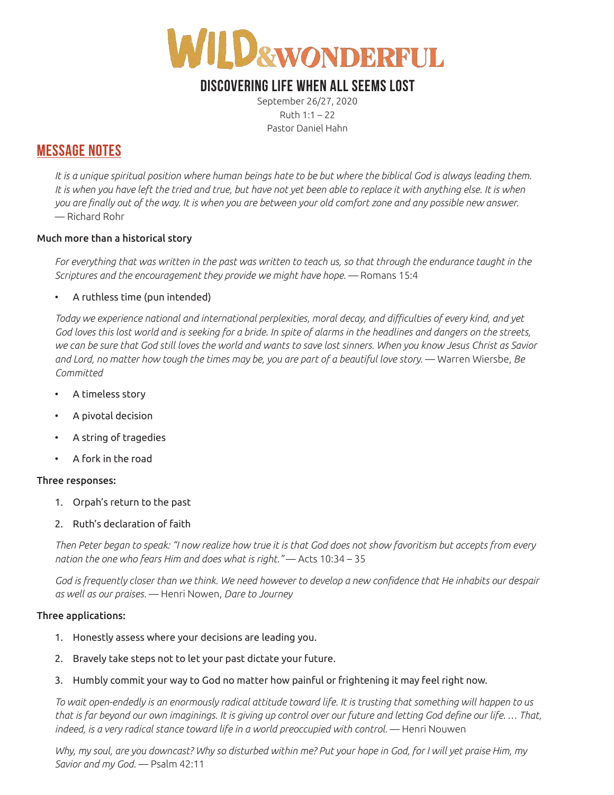

# **DISCOVERING LIFE WHEN ALL SEEMS LOST**

September 26/27, 2020 Ruth 1:1 – 22 Pastor Daniel Hahn

## **MESSAGE NOTES**

It is a unique spiritual position where human beings hate to be but where the biblical God is always leading them. It is when you have left the tried and true, but have not yet been able to replace it with anything else. It is when *you are finally out of the way. It is when you are between your old comfort zone and any possible new answer.*  — Richard Rohr

### Much more than a historical story

*For everything that was written in the past was written to teach us, so that through the endurance taught in the Scriptures and the encouragement they provide we might have hope.* — Romans 15:4

### • A ruthless time (pun intended)

*Today we experience national and international perplexities, moral decay, and difficulties of every kind, and yet God loves this lost world and is seeking for a bride. In spite of alarms in the headlines and dangers on the streets, we can be sure that God still loves the world and wants to save lost sinners. When you know Jesus Christ as Savior and Lord, no matter how tough the times may be, you are part of a beautiful love story.* — Warren Wiersbe, *Be Committed*

- A timeless story
- A pivotal decision
- A string of tragedies
- A fork in the road

#### Three responses:

- 1. Orpah's return to the past
- 2. Ruth's declaration of faith

*Then Peter began to speak: "I now realize how true it is that God does not show favoritism but accepts from every nation the one who fears Him and does what is right."* — Acts 10:34 – 35

*God is frequently closer than we think. We need however to develop a new confidence that He inhabits our despair as well as our praises.* — Henri Nowen, *Dare to Journey* 

#### Three applications:

- 1. Honestly assess where your decisions are leading you.
- 2. Bravely take steps not to let your past dictate your future.
- 3. Humbly commit your way to God no matter how painful or frightening it may feel right now.

*To wait open-endedly is an enormously radical attitude toward life. It is trusting that something will happen to us that is far beyond our own imaginings. It is giving up control over our future and letting God define our life. … That,*  indeed, is a very radical stance toward life in a world preoccupied with control. — Henri Nouwen

*Why, my soul, are you downcast? Why so disturbed within me? Put your hope in God, for I will yet praise Him, my Savior and my God.* — Psalm 42:11